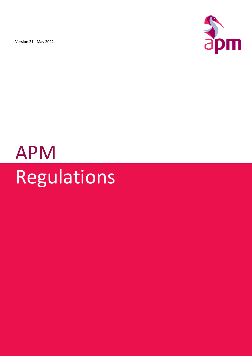Version 21 - May 2022



# APM Regulations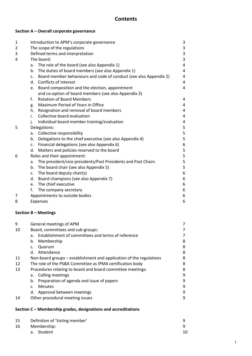# **Contents**

# **Section A – Overall corporate governance**

| 1 | Introduction to APM's corporate governance                                          |   |  |  |
|---|-------------------------------------------------------------------------------------|---|--|--|
| 2 | The scope of the regulations                                                        |   |  |  |
| 3 | Defined terms and interpretation                                                    |   |  |  |
| 4 | The board:                                                                          |   |  |  |
|   | a. The role of the board (see also Appendix 1)                                      | 4 |  |  |
|   | The duties of board members (see also Appendix 1)<br>b.                             | 4 |  |  |
|   | Board member behaviours and code of conduct (see also Appendix 2)<br>C <sub>1</sub> | 4 |  |  |
|   | Conflicts of interest<br>d.                                                         | 4 |  |  |
|   | Board composition and the election, appointment<br>e.                               | 4 |  |  |
|   | and co-option of board members (see also Appendix 3)                                |   |  |  |
|   | <b>Rotation of Board Members</b><br>f.                                              | 4 |  |  |
|   | Maximum Period of Years in Office<br>g.                                             | 4 |  |  |
|   | Resignation and removal of board members<br>h.                                      | 4 |  |  |
|   | Collective board evaluation<br>i.                                                   | 4 |  |  |
|   | Individual board member training/evaluation<br>j.                                   | 4 |  |  |
| 5 | Delegations:                                                                        |   |  |  |
|   | Collective responsibility<br>a.                                                     | 5 |  |  |
|   | Delegations to the chief executive (see also Appendix 4)<br>b.                      | 5 |  |  |
|   | Financial delegations (see also Appendix 6)<br>$C_{\star}$                          | 6 |  |  |
|   | Matters and policies reserved to the board<br>d.                                    | 5 |  |  |
| 6 | Roles and their appointment:                                                        | 5 |  |  |
|   | The president/vice presidents/Past Presidents and Past Chairs<br>a.                 | 5 |  |  |
|   | b. The board chair (see also Appendix 5)                                            | 5 |  |  |
|   | c. The board deputy chair(s)                                                        | 6 |  |  |
|   | Board champions (see also Appendix 7)<br>d.                                         | 6 |  |  |
|   | e. The chief executive                                                              | 6 |  |  |
|   | f.<br>The company secretary                                                         | 6 |  |  |
| 7 | Appointments to outside bodies                                                      | 6 |  |  |
| 8 | <b>Expenses</b>                                                                     |   |  |  |

# **Section B – Meetings**

| 9  | General meetings of APM                                             |   |  |  |
|----|---------------------------------------------------------------------|---|--|--|
| 10 | Board, committees and sub-groups:                                   |   |  |  |
|    | Establishment of committees and terms of reference<br>a.            | 7 |  |  |
|    | Membership<br>b.                                                    | 8 |  |  |
|    | Quorum<br>C.                                                        | 8 |  |  |
|    | Attendance<br>d.                                                    | 8 |  |  |
| 11 | Non-board groups – establishment and application of the regulations |   |  |  |
| 12 | The role of the PS&K Committee as IPMA certification body           |   |  |  |
| 13 | Procedures relating to board and board committee meetings:          | 8 |  |  |
|    | Calling meetings<br>а.                                              | 9 |  |  |
|    | Preparation of agenda and issue of papers<br>b.                     | 9 |  |  |
|    | <b>Minutes</b><br>$\mathsf{C}$                                      | 9 |  |  |
|    | Approval between meetings<br>d.                                     | 9 |  |  |
| 14 | Other procedural meeting issues                                     | 9 |  |  |

# **Section C – Membership grades, designations and accreditations**

| -15 | Definition of 'Voting member' |    |
|-----|-------------------------------|----|
| 16  | Membership:                   |    |
|     | a. Student                    | 10 |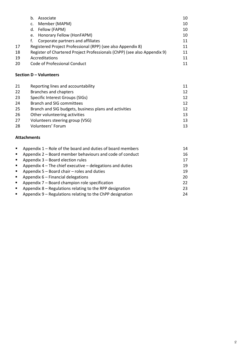|    | Associate<br>b.                                                          | 10 |
|----|--------------------------------------------------------------------------|----|
|    | Member (MAPM)<br>$\mathsf{C}$ .                                          | 10 |
|    | Fellow (FAPM)<br>d.                                                      | 10 |
|    | e. Honorary Fellow (HonFAPM)                                             | 10 |
|    | Corporate partners and affiliates<br>t.                                  | 11 |
| 17 | Registered Project Professional (RPP) (see also Appendix 8)              | 11 |
| 18 | Register of Chartered Project Professionals (ChPP) (see also Appendix 9) | 11 |
| 19 | Accreditations                                                           |    |
| 20 | Code of Professional Conduct                                             | 11 |
|    |                                                                          |    |

# **Section D – Volunteers**

| 21 | Reporting lines and accountability                    | 11 |
|----|-------------------------------------------------------|----|
| 22 | <b>Branches and chapters</b>                          | 12 |
| 23 | Specific Interest Groups (SIGs)                       | 12 |
| 24 | <b>Branch and SIG committees</b>                      | 12 |
| 25 | Branch and SIG budgets, business plans and activities | 12 |
| 26 | Other volunteering activities                         | 13 |
| 27 | Volunteers steering group (VSG)                       | 13 |
| 28 | Volunteers' Forum                                     | 13 |

# **Attachments**

| $\blacksquare$ | Appendix 1 – Role of the board and duties of board members  | 14 |
|----------------|-------------------------------------------------------------|----|
| $\blacksquare$ | Appendix 2 – Board member behaviours and code of conduct    | 16 |
| $\blacksquare$ | Appendix 3 - Board election rules                           | 17 |
| $\mathbf{E}$   | Appendix $4$ – The chief executive – delegations and duties | 19 |
| $\mathbf{E}$   | Appendix 5 – Board chair – roles and duties                 | 19 |
| $\mathbf{r}$   | Appendix 6 - Financial delegations                          | 20 |
| $\blacksquare$ | Appendix 7 - Board champion role specification              | 22 |
| $\blacksquare$ | Appendix 8 - Regulations relating to the RPP designation    | 23 |
| $\blacksquare$ | Appendix 9 - Regulations relating to the ChPP designation   | 24 |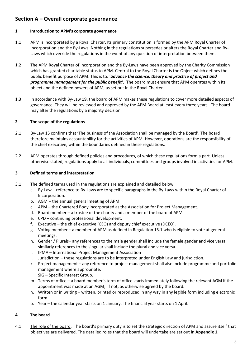# **Section A – Overall corporate governance**

# **1 Introduction to APM's corporate governance**

- 1.1 APM is incorporated by a Royal Charter. Its primary constitution is formed by the APM Royal Charter of Incorporation and the By-Laws. Nothing in the regulations supersedes or alters the Royal Charter and By-Laws which override the regulations in the event of any question of interpretation between them.
- 1.2 The APM Royal Charter of Incorporation and the By-Laws have been approved by the Charity Commission which has granted charitable status to APM. Central to the Royal Charter is the Object which defines the public benefit purpose of APM. This is to: '*advance the science, theory and practice of project and programme management for the public benefit'.* The board must ensure that APM operates within its object and the defined powers of APM, as set out in the Royal Charter.
- 1.3 In accordance with By-Law 19, the board of APM makes these regulations to cover more detailed aspects of governance. They will be reviewed and approved by the APM Board at least every three years. The board may alter the regulations by a majority decision.

# **2 The scope of the regulations**

- 2.1 By-Law 15 confirms that 'The business of the Association shall be managed by the Board'. The board therefore maintains accountability for the activities of APM. However, operations are the responsibility of the chief executive, within the boundaries defined in these regulations.
- 2.2 APM operates through defined policies and procedures, of which these regulations form a part. Unless otherwise stated, regulations apply to all individuals, committees and groups involved in activities for APM.

# **3 Defined terms and interpretation**

- 3.1 The defined terms used in the regulations are explained and detailed below:
	- a. By-Law reference to By-Laws are to specific paragraphs in the By-Laws within the Royal Charter of Incorporation.
	- b. AGM the annual general meeting of APM.
	- c. APM the Chartered Body incorporated as the Association for Project Management.
	- d. Board member a trustee of the charity and a member of the board of APM.
	- e. CPD continuing professional development.
	- f. Executive the chief executive (CEO) and deputy chief executive (DCEO).
	- g. Voting member a member of APM as defined in Regulation 15.1 who is eligible to vote at general meetings.
	- h. Gender / Plurals– any references to the male gender shall include the female gender and vice versa; similarly references to the singular shall include the plural and vice versa.
	- i. IPMA International Project Management Association
	- j. Jurisdiction these regulations are to be interpreted under English Law and jurisdiction.
	- k. Project management any reference to project management shall also include programme and portfolio management where appropriate.
	- l. SIG Specific Interest Group.
	- m. Terms of office a board member's term of office starts immediately following the relevant AGM if the appointment was made at an AGM; if not, as otherwise agreed by the board.
	- n. Written or in writing written, printed or reproduced in any way in any legible form including electronic form.
	- o. Year the calendar year starts on 1 January. The financial year starts on 1 April.

# **4 The board**

4.1 The role of the board. The board's primary duty is to set the strategic direction of APM and assure itself that objectives are delivered. The detailed roles that the board will undertake are set out in **Appendix 1**.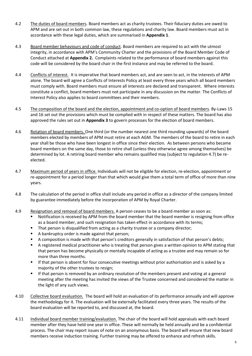- 4.2 The duties of board members. Board members act as charity trustees. Their fiduciary duties are owed to APM and are set out in both common law, these regulations and charity law. Board members must act in accordance with these legal duties, which are summarised in **Appendix 1**.
- 4.3 Board member behaviours and code of conduct. Board members are required to act with the utmost integrity, in accordance with APM's Community Charter and the provisions of the Board Member Code of Conduct attached at **Appendix 2.** Complaints related to the performance of board members against this code will be considered by the board chair in the first instance and may be referred to the board.
- 4.4 Conflicts of interest. It is imperative that board members act, and are seen to act, in the interests of APM alone. The board will agree a Conflicts of Interests Policy at least every three years which all board members must comply with. Board members must ensure all interests are declared and transparent. Where interests constitute a conflict, board members must not participate in any discussion on the matter. The Conflicts of Interest Policy also applies to board committees and their members.
- 4.5 The composition of the board and the election, appointment and co-option of board members. By-Laws 15 and 16 set out the provisions which must be complied with in respect of these matters. The board has also approved the rules set out in **Appendix 3** to govern processes for the election of board members.
- 4.6 Rotation of board members. One third (or the number nearest one third rounding upwards) of the board members elected by members of APM must retire at each AGM. The members of the board to retire in each year shall be those who have been longest in office since their election. As between persons who became board members on the same day, those to retire shall (unless they otherwise agree among themselves) be determined by lot. A retiring board member who remains qualified may (subject to regulation 4.7) be reelected.
- 4.7 Maximum period of years in office. Individuals will not be eligible for election, re-election, appointment or re-appointment for a period longer than that which would give them a total term of office of more than nine years.
- 4.8 The calculation of the period in office shall include any period in office as a director of the company limited by guarantee immediately before the incorporation of APM by Royal Charter.
- 4.9 Resignation and removal of board members. A person ceases to be a board member as soon as:
	- Notification is received by APM from the board member that the board member is resigning from office as a board member, and such resignation has taken effect in accordance with its terms;
	- **That person is disqualified from acting as a charity trustee or a company director;**
	- A bankruptcy order is made against that person;
	- A composition is made with that person's creditors generally in satisfaction of that person's debts;
	- **A** registered medical practitioner who is treating that person gives a written opinion to APM stating that that person has become physically or mentally incapable of acting as a trustee and may remain so for more than three months.
	- **If that person is absent for four consecutive meetings without prior authorisation and is asked by a** majority of the other trustees to resign;
	- If that person is removed by an ordinary resolution of the members present and voting at a general meeting after the meeting has invited the views of the Trustee concerned and considered the matter in the light of any such views.
- 4.10 Collective board evaluation. The board will hold an evaluation of its performance annually and will approve the methodology for it. The evaluation will be externally facilitated every three years. The results of the board evaluation will be reported to, and discussed at, the board.
- 4.11 Individual board member training/evaluation. The chair of the board will hold appraisals with each board member after they have held one year in office. These will normally be held annually and be a confidential process. The chair may report issues of note on an anonymous basis. The board will ensure that new board members receive induction training. Further training may be offered to enhance and refresh skills.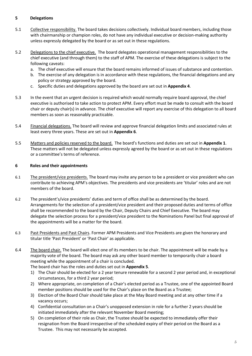# **5 Delegations**

- 5.1 Collective responsibility. The board takes decisions collectively. Individual board members, including those with chairmanship or champion roles, do not have any individual executive or decision-making authority unless expressly delegated by the board or as set out in these regulations.
- 5.2 Delegations to the chief executive. The board delegates operational management responsibilities to the chief executive (and through them) to the staff of APM. The exercise of these delegations is subject to the following caveats:
	- a. The chief executive will ensure that the board remains informed of issues of substance and contention.
	- b. The exercise of any delegation is in accordance with these regulations, the financial delegations and any policy or strategy approved by the board.
	- c. Specific duties and delegations approved by the board are set out in **Appendix 4**.
- 5.3 In the event that an urgent decision is required which would normally require board approval, the chief executive is authorised to take action to protect APM. Every effort must be made to consult with the board chair or deputy chair(s) in advance. The chief executive will report any exercise of this delegation to all board members as soon as reasonably practicable.
- 5.4 Financial delegations. The board will review and approve financial delegation limits and associated rules at least every three years. These are set out in **Appendix 6**.
- 5.5 Matters and policies reserved to the board. The board's functions and duties are set out in **Appendix 1**. These matters will not be delegated unless expressly agreed by the board or as set out in these regulations or a committee's terms of reference.

# **6 Roles and their appointments**

- 6.1 The president/vice presidents. The board may invite any person to be a president or vice president who can contribute to achieving APM's objectives. The presidents and vice presidents are 'titular' roles and are not members of the board.
- 6.2 The president's/vice presidents' duties and term of office shall be as determined by the board. Arrangements for the selection of a president/vice president and their proposed duties and terms of office shall be recommended to the board by the Chair, Deputy Chairs and Chief Executive. The board may delegate the selection process for a president/vice president to the Nominations Panel but final approval of the appointments will be a matter for the board.
- 6.3 Past Presidents and Past Chairs. Former APM Presidents and Vice Presidents are given the honorary and titular title 'Past President' or 'Past Chair' as applicable.
- 6.4 The board chair. The board will elect one of its members to be chair. The appointment will be made by a majority vote of the board. The board may ask any other board member to temporarily chair a board meeting while the appointment of a chair is concluded.
	- The board chair has the roles and duties set out in **Appendix 5**.
	- 1) The Chair should be elected for a 2 year tenure renewable for a second 2 year period and, in exceptional circumstances, for a third 2 year period;
	- 2) Where appropriate, on completion of a Chair's elected period as a Trustee, one of the appointed Board member positions should be used for the Chair's place on the Board as a Trustee;
	- 3) Election of the Board Chair should take place at the May Board meeting and at any other time if a vacancy occurs;
	- 4) Confidential consultation on a Chair's unopposed extension in role for a further 2 years should be initiated immediately after the relevant November Board meeting;
	- 5) On completion of their role as Chair, the Trustee should be expected to immediately offer their resignation from the Board irrespective of the scheduled expiry of their period on the Board as a Trustee. This may not necessarily be accepted.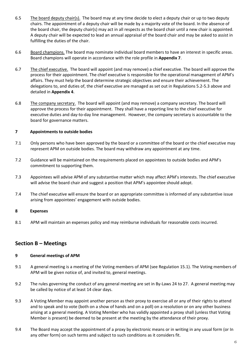- 6.5 The board deputy chair(s). The board may at any time decide to elect a deputy chair or up to two deputy chairs. The appointment of a deputy chair will be made by a majority vote of the board. In the absence of the board chair, the deputy chair(s) may act in all respects as the board chair until a new chair is appointed. A deputy chair will be expected to lead an annual appraisal of the board chair and may be asked to assist in fulfilling the duties of the chair.
- 6.6 Board champions. The board may nominate individual board members to have an interest in specific areas. Board champions will operate in accordance with the role profile in **Appendix 7**.
- 6.7 The chief executive. The board will appoint (and may remove) a chief executive. The board will approve the process for their appointment. The chief executive is responsible for the operational management of APM's affairs. They must help the board determine strategic objectives and ensure their achievement. The delegations to, and duties of, the chief executive are managed as set out in Regulations 5.2-5.3 above and detailed in **Appendix 4**.
- 6.8 The company secretary. The board will appoint (and may remove) a company secretary. The board will approve the process for their appointment. They shall have a reporting line to the chief executive for executive duties and day-to-day line management. However, the company secretary is accountable to the board for governance matters.

# **7 Appointments to outside bodies**

- 7.1 Only persons who have been approved by the board or a committee of the board or the chief executive may represent APM on outside bodies. The board may withdraw any appointment at any time.
- 7.2 Guidance will be maintained on the requirements placed on appointees to outside bodies and APM's commitment to supporting them.
- 7.3 Appointees will advise APM of any substantive matter which may affect APM's interests. The chief executive will advise the board chair and suggest a position that APM's appointee should adopt.
- 7.4 The chief executive will ensure the board or an appropriate committee is informed of any substantive issue arising from appointees' engagement with outside bodies.

# **8 Expenses**

8.1 APM will maintain an expenses policy and may reimburse individuals for reasonable costs incurred.

# **Section B – Meetings**

# **9 General meetings of APM**

- 9.1 A general meeting is a meeting of the Voting members of APM (see Regulation 15.1). The Voting members of APM will be given notice of, and invited to, general meetings.
- 9.2 The rules governing the conduct of any general meeting are set in By-Laws 24 to 27. A general meeting may be called by notice of at least 14 clear days.
- 9.3 A Voting Member may appoint another person as their proxy to exercise all or any of their rights to attend and to speak and to vote (both on a show of hands and on a poll) on a resolution or on any other business arising at a general meeting. A Voting Member who has validly appointed a proxy shall (unless that Voting Member is present) be deemed to be present at the meeting by the attendance of their proxy.
- 9.4 The Board may accept the appointment of a proxy by electronic means or in writing in any usual form (or In any other form) on such terms and subject to such conditions as it considers fit.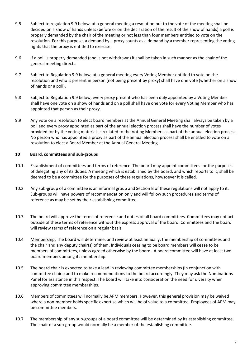- 9.5 Subject to regulation 9.9 below, at a general meeting a resolution put to the vote of the meeting shall be decided on a show of hands unless (before or on the declaration of the result of the show of hands) a poll is properly demanded by the chair of the meeting or not less than four members entitled to vote on the resolution. For this purpose, a demand by a proxy counts as a demand by a member representing the voting rights that the proxy is entitled to exercise.
- 9.6 If a poll is properly demanded (and is not withdrawn) it shall be taken in such manner as the chair of the general meeting directs.
- 9.7 Subject to Regulation 9.9 below, at a general meeting every Voting Member entitled to vote on the resolution and who is present in person (not being present by proxy) shall have one vote (whether on a show of hands or a poll).
- 9.8 Subject to Regulation 9.9 below, every proxy present who has been duly appointed by a Voting Member shall have one vote on a show of hands and on a poll shall have one vote for every Voting Member who has appointed that person as their proxy.
- 9.9 Any vote on a resolution to elect board members at the Annual General Meeting shall always be taken by a poll and every proxy appointed as part of the annual election process shall have the number of votes provided for by the voting materials circulated to the Voting Members as part of the annual election process. No person who has appointed a proxy as part of the annual election process shall be entitled to vote on a resolution to elect a Board Member at the Annual General Meeting.

# **10 Board, committees and sub-groups**

- 10.1 Establishment of committees and terms of reference. The board may appoint committees for the purposes of delegating any of its duties. A meeting which is established by the board, and which reports to it, shall be deemed to be a committee for the purposes of these regulations, howsoever it is called.
- 10.2 Any sub-group of a committee is an informal group and Section B of these regulations will not apply to it. Sub-groups will have powers of recommendation only and will follow such procedures and terms of reference as may be set by their establishing committee.
- 10.3 The board will approve the terms of reference and duties of all board committees. Committees may not act outside of these terms of reference without the express approval of the board. Committees and the board will review terms of reference on a regular basis.
- 10.4 Membership. The board will determine, and review at least annually, the membership of committees and the chair and any deputy chair(s) of them. Individuals ceasing to be board members will cease to be members of committees, unless agreed otherwise by the board. A board committee will have at least two board members among its membership.
- 10.5 The board chair is expected to take a lead in reviewing committee memberships (in conjunction with committee chairs) and to make recommendations to the board accordingly. They may ask the Nominations Panel for assistance in this respect. The board will take into consideration the need for diversity when approving committee memberships.
- 10.6 Members of committees will normally be APM members. However, this general provision may be waived where a non-member holds specific expertise which will be of value to a committee. Employees of APM may be committee members.
- 10.7 The membership of any sub-groups of a board committee will be determined by its establishing committee. The chair of a sub-group would normally be a member of the establishing committee.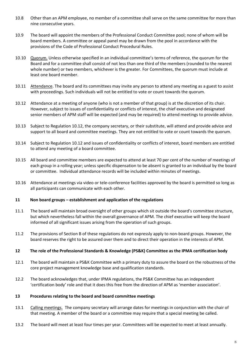- 10.8 Other than an APM employee, no member of a committee shall serve on the same committee for more than nine consecutive years.
- 10.9 The board will appoint the members of the Professional Conduct Committee pool; none of whom will be board members. A committee or appeal panel may be drawn from the pool in accordance with the provisions of the Code of Professional Conduct Procedural Rules.
- 10.10 Quorum. Unless otherwise specified in an individual committee's terms of reference, the quorum for the Board and for a committee shall consist of not less than one third of the members (rounded to the nearest whole number) or two members, whichever is the greater. For Committees, the quorum must include at least one board member.
- 10.11 Attendance. The board and its committees may invite any person to attend any meeting as a guest to assist with proceedings. Such individuals will not be entitled to vote or count towards the quorum.
- 10.12 Attendance at a meeting of anyone (who is not a member of that group) is at the discretion of its chair. However, subject to issues of confidentiality or conflicts of interest, the chief executive and designated senior members of APM staff will be expected (and may be required) to attend meetings to provide advice.
- 10.13 Subject to Regulation 10.12, the company secretary, or their substitute, will attend and provide advice and support to all board and committee meetings. They are not entitled to vote or count towards the quorum.
- 10.14 Subject to Regulation 10.12 and issues of confidentiality or conflicts of interest, board members are entitled to attend any meeting of a board committee.
- 10.15 All board and committee members are expected to attend at least 70 per cent of the number of meetings of each group in a rolling year; unless specific dispensation to be absent is granted to an individual by the board or committee. Individual attendance records will be included within minutes of meetings.
- 10.16 Attendance at meetings via video or tele-conference facilities approved by the board is permitted so long as all participants can communicate with each other.

# **11 Non board groups – establishment and application of the regulations**

- 11.1 The board will maintain broad oversight of other groups which sit outside the board's committee structure, but which nevertheless fall within the overall governance of APM. The chief executive will keep the board informed of all significant issues arising from the operation of such groups.
- 11.2 The provisions of Section B of these regulations do not expressly apply to non-board groups. However, the board reserves the right to be assured over them and to direct their operation in the interests of APM.

#### **12 The role of the Professional Standards & Knowledge (PS&K) Committee as the IPMA certification body**

- 12.1 The board will maintain a PS&K Committee with a primary duty to assure the board on the robustness of the core project management knowledge base and qualification standards.
- 12.2 The board acknowledges that, under IPMA regulations, the PS&K Committee has an independent 'certification body' role and that it does this free from the direction of APM as 'member association'.

#### **13 Procedures relating to the board and board committee meetings**

- 13.1 Calling meetings. The company secretary will arrange dates for meetings in conjunction with the chair of that meeting. A member of the board or a committee may require that a special meeting be called.
- 13.2 The board will meet at least four times per year. Committees will be expected to meet at least annually.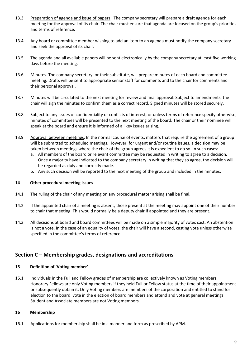- 13.3 Preparation of agenda and issue of papers. The company secretary will prepare a draft agenda for each meeting for the approval of its chair. The chair must ensure that agenda are focused on the group's priorities and terms of reference.
- 13.4 Any board or committee member wishing to add an item to an agenda must notify the company secretary and seek the approval of its chair.
- 13.5 The agenda and all available papers will be sent electronically by the company secretary at least five working days before the meeting.
- 13.6 Minutes. The company secretary, or their substitute, will prepare minutes of each board and committee meeting. Drafts will be sent to appropriate senior staff for comments and to the chair for comments and their personal approval.
- 13.7 Minutes will be circulated to the next meeting for review and final approval. Subject to amendments, the chair will sign the minutes to confirm them as a correct record. Signed minutes will be stored securely.
- 13.8 Subject to any issues of confidentiality or conflicts of interest, or unless terms of reference specify otherwise, minutes of committees will be presented to the next meeting of the board. The chair or their nominee will speak at the board and ensure it is informed of all key issues arising.
- 13.9 Approval between meetings. In the normal course of events, matters that require the agreement of a group will be submitted to scheduled meetings. However, for urgent and/or routine issues, a decision may be taken between meetings where the chair of the group agrees it is expedient to do so. In such cases:
	- a. All members of the board or relevant committee may be requested in writing to agree to a decision. Once a majority have indicated to the company secretary in writing that they so agree, the decision will be regarded as duly and correctly made.
	- b. Any such decision will be reported to the next meeting of the group and included in the minutes.

#### **14 Other procedural meeting issues**

- 14.1 The ruling of the chair of any meeting on any procedural matter arising shall be final.
- 14.2 If the appointed chair of a meeting is absent, those present at the meeting may appoint one of their number to chair that meeting. This would normally be a deputy chair if appointed and they are present.
- 14.3 All decisions at board and board committees will be made on a simple majority of votes cast. An abstention is not a vote. In the case of an equality of votes, the chair will have a second, casting vote unless otherwise specified in the committee's terms of reference.

# **Section C – Membership grades, designations and accreditations**

#### **15 Definition of 'Voting member'**

15.1 Individuals in the Full and Fellow grades of membership are collectively known as Voting members. Honorary Fellows are only Voting members if they held Full or Fellow status at the time of their appointment or subsequently obtain it. Only Voting members are members of the corporation and entitled to stand for election to the board, vote in the election of board members and attend and vote at general meetings. Student and Associate members are not Voting members.

# **16 Membership**

16.1 Applications for membership shall be in a manner and form as prescribed by APM.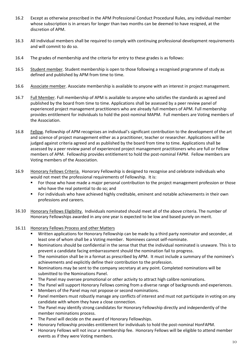- 16.2 Except as otherwise prescribed in the APM Professional Conduct Procedural Rules, any individual member whose subscription is in arrears for longer than two months can be deemed to have resigned, at the discretion of APM.
- 16.3 All individual members shall be required to comply with continuing professional development requirements and will commit to do so.
- 16.4 The grades of membership and the criteria for entry to these grades is as follows:
- 16.5 Student member. Student membership is open to those following a recognised programme of study as defined and published by APM from time to time.
- 16.6 Associate member. Associate membership is available to anyone with an interest in project management.
- 16.7 Full Member. Full membership of APM is available to anyone who satisfies the standards as agreed and published by the board from time to time. Applications shall be assessed by a peer review panel of experienced project management practitioners who are already full members of APM. Full membership provides entitlement for individuals to hold the post-nominal MAPM. Full members are Voting members of the Association.
- 16.8 Fellow. Fellowship of APM recognises an individual's significant contribution to the development of the art and science of project management either as a practitioner, teacher or researcher. Applications will be judged against criteria agreed and as published by the board from time to time. Applications shall be assessed by a peer review panel of experienced project management practitioners who are full or Fellow members of APM. Fellowship provides entitlement to hold the post-nominal FAPM. Fellow members are Voting members of the Association.
- 16.9 Honorary Fellows Criteria. Honorary Fellowship is designed to recognise and celebrate individuals who would not meet the professional requirements of Fellowship. It is:
	- For those who have made a major personal contribution to the project management profession or those who have the real potential to do so; and
	- For individuals who have achieved highly creditable, eminent and notable achievements in their own professions and careers.
- 16.10 Honorary Fellows Eligibility. Individuals nominated should meet all of the above criteria. The number of Honorary Fellowships awarded in any one year is expected to be low and based purely on merit.
- 16.11 Honorary Fellows Process and other Matters
	- Written applications for Honorary Fellowship can be made by a third party nominator and seconder, at least one of whom shall be a Voting member. Nominees cannot self-nominate.
	- Nominations should be confidential in the sense that that the individual nominated is unaware. This is to prevent a candidate facing embarrassment should the nomination fail to progress.
	- The nomination shall be in a format as prescribed by APM. It must include a summary of the nominee's achievements and explicitly define their contribution to the profession.
	- Nominations may be sent to the company secretary at any point. Completed nominations will be submitted to the Nominations Panel.
	- **The Panel may oversee promotional or other activity to attract high calibre nominations.**
	- **The Panel will support Honorary Fellows coming from a diverse range of backgrounds and experiences.**
	- **Members of the Panel may not propose or second nominations.**
	- **Panel members must robustly manage any conflicts of interest and must not participate in voting on any** candidate with whom they have a close connection.
	- The Panel may identify strong candidates for Honorary Fellowship directly and independently of the member nominations process.
	- **The Panel will decide on the award of Honorary Fellowships.**
	- Honorary Fellowship provides entitlement for individuals to hold the post-nominal HonFAPM.
	- Honorary Fellows will not incur a membership fee. Honorary Fellows will be eligible to attend member events as if they were Voting members.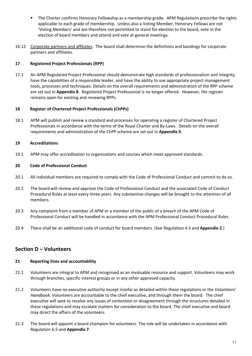- The Charter confirms Honorary Fellowship as a membership grade. APM Regulations prescribe the rights applicable to each grade of membership. Unless also a Voting Member, Honorary Fellows are not 'Voting Members' and are therefore not permitted to stand for election to the board, vote in the election of board members and attend and vote at general meetings.
- 16.12 Corporate partners and affiliates. The board shall determine the definitions and bandings for corporate partners and affiliates.

# **17 Registered Project Professionals (RPP)**

17.1 An APM Registered Project Professional should demonstrate high standards of professionalism and integrity, have the capabilities of a responsible leader, and have the ability to use appropriate project management tools, processes and techniques. Details on the overall requirements and administration of the RPP scheme are set out in **Appendix 8**. Registered Project Professional is no longer offered. However, the register remains open for existing and renewing RPPs.

# **18 Register of Chartered Project Professionals (ChPPs)**

18.1 APM will publish and review a standard and processes for operating a register of Chartered Project Professionals in accordance with the terms of the Royal Charter and By-Laws. Details on the overall requirements and administration of the ChPP scheme are set out in **Appendix 9**.

# **19 Accreditations**

19.1 APM may offer accreditation to organisations and courses which meet approved standards.

# **20 Code of Professional Conduct**

- 20.1 All individual members are required to comply with the Code of Professional Conduct and commit to do so.
- 20.2 The board will review and approve the Code of Professional Conduct and the associated Code of Conduct Procedural Rules at least every three years. Any substantive changes will be brought to the attention of all members.
- 20.3 Any complaint from a member of APM or a member of the public of a breach of the APM Code of Professional Conduct will be handled in accordance with the APM Professional Conduct Procedural Rules.
- 20.4 There shall be an additional code of conduct for board members. (See Regulation 4.3 and **Appendix 2**.)

# **Section D – Volunteers**

# **21 Reporting lines and accountability**

- 21.1 Volunteers are integral to APM and recognised as an invaluable resource and support. Volunteers may work through branches, specific interest groups or in any other approved capacity.
- 21.2 Volunteers have no executive authority except insofar as detailed within these regulations or the *Volunteers' Handbook*. Volunteers are accountable to the chief executive, and through them the board. The chief executive will seek to resolve any issues of contention or disagreement through the structures detailed in these regulations and may escalate matters for consideration to the board. The chief executive and board may direct the affairs of the volunteers.
- 21.3 The board will appoint a board champion for volunteers. The role will be undertaken in accordance with Regulation 6.5 and **Appendix 7**.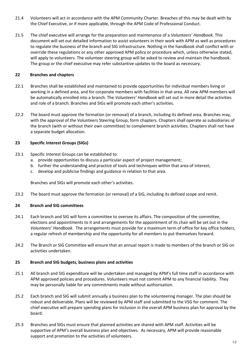- 21.4 Volunteers will act in accordance with the APM Community Charter. Breaches of this may be dealt with by the Chief Executive, or if more applicable, through the APM Code of Professional Conduct.
- 21.5 The chief executive will arrange for the preparation and maintenance of a *Volunteers' Handbook*. This document will set out detailed information to assist volunteers in their work with APM as well as procedures to regulate the business of the branch and SIG infrastructure. Nothing in the handbook shall conflict with or override these regulations or any other approved APM policy or procedure which, unless otherwise stated, will apply to volunteers. The volunteer steering group will be asked to review and maintain the handbook. The group or the chief executive may refer substantive updates to the board as necessary.

# **22 Branches and chapters**

- 22.1 Branches shall be established and maintained to provide opportunities for individual members living or working in a defined area, and for corporate members with facilities in that area. All new APM members will be automatically enrolled into a branch. The *Volunteers' Handbook* will set out in more detail the activities and role of a branch. Branches and SIGs will promote each other's activities.
- 22.2 The board must approve the formation (or removal) of a branch, including its defined area. Branches may, with the approval of the Volunteers Steering Group, form chapters. Chapters shall operate as subsidiaries of the branch (with or without their own committee) to complement branch activities. Chapters shall not have a separate budget allocation.

# **23 Specific Interest Groups (SIGs)**

- 23.1 Specific Interest Groups can be established to:
	- a. provide opportunities to discuss a particular aspect of project management;
	- b. further the understanding and practice of tools and techniques within that area of interest;
	- c. develop and publicise findings and guidance in relation to that area.

Branches and SIGs will promote each other's activities.

23.2 The board must approve the formation (or removal) of a SIG, including its defined scope and remit.

# **24 Branch and SIG committees**

- 24.1 Each branch and SIG will form a committee to oversee its affairs. The composition of the committee, elections and appointments to it and arrangements for the appointment of its chair will be set out in the *Volunteers' Handbook*. The arrangements must provide for a maximum term of office for key office holders, a regular refresh of membership and the opportunity for all members to put themselves forward.
- 24.2 The Branch or SIG Committee will ensure that an annual report is made to members of the branch or SIG on activities undertaken.

# **25 Branch and SIG budgets, business plans and activities**

- 25.1 All branch and SIG expenditure will be undertaken and managed by APM's full time staff in accordance with APM approved policies and procedures. Volunteers must not commit APM to any financial liability. They may be personally liable for any commitments made without authorisation.
- 25.2 Each branch and SIG will submit annually a business plan to the volunteering manager. The plan should be robust and deliverable. Plans will be reviewed by APM staff and submitted to the VSG for comment. The chief executive will prepare spending plans for inclusion in the overall APM business plan for approval by the board.
- 25.3 Branches and SIGs must ensure that planned activities are shared with APM staff. Activities will be supportive of APM's overall business plan and objectives. As necessary, APM will provide reasonable support and promotion to the activities of volunteers.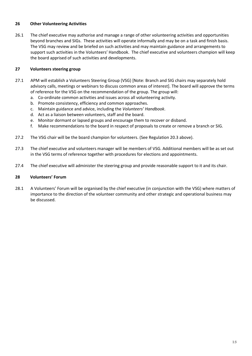#### **26 Other Volunteering Activities**

26.1 The chief executive may authorise and manage a range of other volunteering activities and opportunities beyond branches and SIGs. These activities will operate informally and may be on a task and finish basis. The VSG may review and be briefed on such activities and may maintain guidance and arrangements to support such activities in the Volunteers' Handbook. The chief executive and volunteers champion will keep the board apprised of such activities and developments.

# **27 Volunteers steering group**

- 27.1 APM will establish a Volunteers Steering Group (VSG) [Note: Branch and SIG chairs may separately hold advisory calls, meetings or webinars to discuss common areas of interest]. The board will approve the terms of reference for the VSG on the recommendation of the group. The group will:
	- a. Co-ordinate common activities and issues across all volunteering activity.
	- b. Promote consistency, efficiency and common approaches.
	- c. Maintain guidance and advice, including the *Volunteers' Handbook*.
	- d. Act as a liaison between volunteers, staff and the board.
	- e. Monitor dormant or lapsed groups and encourage them to recover or disband.
	- f. Make recommendations to the board in respect of proposals to create or remove a branch or SIG.
- 27.2 The VSG chair will be the board champion for volunteers. (See Regulation 20.3 above).
- 27.3 The chief executive and volunteers manager will be members of VSG. Additional members will be as set out in the VSG terms of reference together with procedures for elections and appointments.
- 27.4 The chief executive will administer the steering group and provide reasonable support to it and its chair.

#### **28 Volunteers' Forum**

28.1 A Volunteers' Forum will be organised by the chief executive (in conjunction with the VSG) where matters of importance to the direction of the volunteer community and other strategic and operational business may be discussed.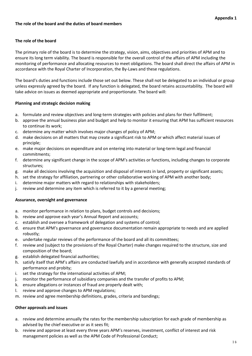# **The role of the board**

The primary role of the board is to determine the strategy, vision, aims, objectives and priorities of APM and to ensure its long term viability. The board is responsible for the overall control of the affairs of APM including the monitoring of performance and allocating resources to meet obligations. The board shall direct the affairs of APM in accordance with the Royal Charter of Incorporation, the By-Laws and these regulations.

The board's duties and functions include those set out below. These shall not be delegated to an individual or group unless expressly agreed by the board. If any function is delegated, the board retains accountability. The board will take advice on issues as deemed appropriate and proportionate. The board will:

# **Planning and strategic decision making**

- a. formulate and review objectives and long-term strategies with policies and plans for their fulfilment;
- b. approve the annual business plan and budget and help to monitor it ensuring that APM has sufficient resources to continue its work;
- c. determine any matter which involves major changes of policy of APM;
- d. make decisions on all matters that may create a significant risk to APM or which affect material issues of principle;
- e. make major decisions on expenditure and on entering into material or long-term legal and financial commitments;
- f. determine any significant change in the scope of APM's activities or functions, including changes to corporate structures;
- g. make all decisions involving the acquisition and disposal of interests in land, property or significant assets;
- h. set the strategy for affiliation, partnering or other collaborative working of APM with another body;
- i. determine major matters with regard to relationships with stakeholders;
- j. review and determine any item which is referred to it by a general meeting;

#### **Assurance, oversight and governance**

- a. monitor performance in relation to plans, budget controls and decisions;
- b. review and approve each year's Annual Report and accounts;
- c. establish and oversee a framework of delegation and systems of control;
- d. ensure that APM's governance and governance documentation remain appropriate to needs and are applied robustly;
- e. undertake regular reviews of the performance of the board and all its committees;
- f. review and (subject to the provisions of the Royal Charter) make changes required to the structure, size and composition of the board;
- g. establish delegated financial authorities;
- h. satisfy itself that APM's affairs are conducted lawfully and in accordance with generally accepted standards of performance and probity;
- i. set the strategy for the international activities of APM;
- j. monitor the performance of subsidiary companies and the transfer of profits to APM;
- k. ensure allegations or instances of fraud are properly dealt with;
- l. review and approve changes to APM regulations;
- m. review and agree membership definitions, grades, criteria and bandings;

# **Other approvals and issues**

- a. review and determine annually the rates for the membership subscription for each grade of membership as advised by the chief executive or as it sees fit;
- b. review and approve at least every three years APM's reserves, investment, conflict of interest and risk management policies as well as the APM Code of Professional Conduct;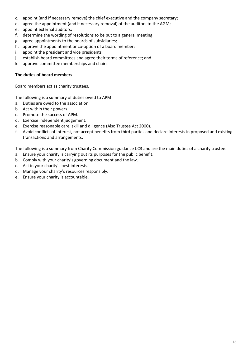- c. appoint (and if necessary remove) the chief executive and the company secretary;
- d. agree the appointment (and if necessary removal) of the auditors to the AGM;
- e. appoint external auditors;
- f. determine the wording of resolutions to be put to a general meeting;
- g. agree appointments to the boards of subsidiaries;
- h. approve the appointment or co-option of a board member;
- i. appoint the president and vice presidents;
- j. establish board committees and agree their terms of reference; and
- k. approve committee memberships and chairs.

#### **The duties of board members**

Board members act as charity trustees.

The following is a summary of duties owed to APM:

- a. Duties are owed to the association
- b. Act within their powers.
- c. Promote the success of APM.
- d. Exercise independent judgement.
- e. Exercise reasonable care, skill and diligence (Also Trustee Act 2000).
- f. Avoid conflicts of interest, not accept benefits from third parties and declare interests in proposed and existing transactions and arrangements.

The following is a summary from Charity Commission guidance CC3 and are the main duties of a charity trustee:

- a. Ensure your charity is carrying out its purposes for the public benefit.
- b. Comply with your charity's governing document and the law.
- c. Act in your charity's best interests.
- d. Manage your charity's resources responsibly.
- e. Ensure your charity is accountable.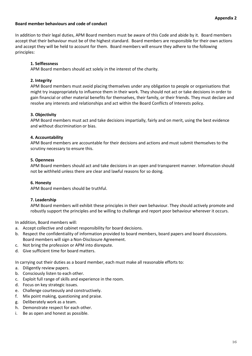#### **Board member behaviours and code of conduct**

In addition to their legal duties, APM Board members must be aware of this Code and abide by it. Board members accept that their behaviour must be of the highest standard. Board members are responsible for their own actions and accept they will be held to account for them. Board members will ensure they adhere to the following principles:

#### **1. Selflessness**

APM Board members should act solely in the interest of the charity.

#### **2. Integrity**

APM Board members must avoid placing themselves under any obligation to people or organisations that might try inappropriately to influence them in their work. They should not act or take decisions in order to gain financial or other material benefits for themselves, their family, or their friends. They must declare and resolve any interests and relationships and act within the Board Conflicts of Interests policy.

#### **3. Objectivity**

APM Board members must act and take decisions impartially, fairly and on merit, using the best evidence and without discrimination or bias.

#### **4. Accountability**

APM Board members are accountable for their decisions and actions and must submit themselves to the scrutiny necessary to ensure this.

#### **5. Openness**

APM Board members should act and take decisions in an open and transparent manner. Information should not be withheld unless there are clear and lawful reasons for so doing.

#### **6. Honesty**

APM Board members should be truthful.

#### **7. Leadership**

APM Board members will exhibit these principles in their own behaviour. They should actively promote and robustly support the principles and be willing to challenge and report poor behaviour wherever it occurs.

In addition, Board members will:

- a. Accept collective and cabinet responsibility for board decisions.
- b. Respect the confidentiality of information provided to board members, board papers and board discussions. Board members will sign a Non-Disclosure Agreement.
- c. Not bring the profession or APM into disrepute.
- d. Give sufficient time for board matters.

In carrying out their duties as a board member, each must make all reasonable efforts to:

- a. Diligently review papers.
- b. Consciously listen to each other.
- c. Exploit full range of skills and experience in the room.
- d. Focus on key strategic issues.
- e. Challenge courteously and constructively.
- f. Mix point making, questioning and praise.
- g. Deliberately work as a team.
- h. Demonstrate respect for each other.
- i. Be as open and honest as possible.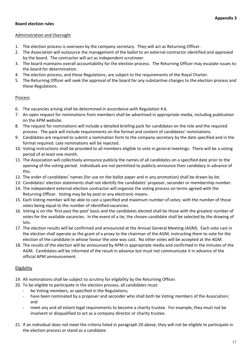# **Board election rules**

#### Administration and Oversight

- 1. The election process is overseen by the company secretary. They will act as Returning Officer.
- 2. The Association will outsource the management of the ballot to an external contractor identified and approved by the board. The contractor will act as independent scrutineer.
- 3. The board maintains overall accountability for the election process. The Returning Officer may escalate issues to the board for determination.
- 4. The election process, and these Regulations, are subject to the requirements of the Royal Charter.
- 5. The Returning Officer will seek the approval of the board for any substantive changes to the election process and these Regulations.

# **Process**

- 6. The vacancies arising shall be determined in accordance with Regulation 4.6.
- 7. An open request for nominations from members shall be advertised in appropriate media, including publication on the APM website.
- 8. The request for nominations will include a detailed briefing pack for candidates on the role and the required process. The pack will include requirements on the format and content of candidates' nominations.
- 9. Candidates are required to submit a nomination form to the company secretary by the date specified and in the format required. Late nominations will be rejected.
- 10. Voting instructions shall be provided to all members eligible to vote in general meetings. There will be a voting period of at least one month.
- 11. The Association will collectively announce publicly the names of all candidates on a specified date prior to the opening of the voting period. Individuals are not permitted to publicly announce their candidacy in advance of this.
- 12. The order of candidates' names (for use on the ballot paper and in any promotion) shall be drawn by lot.
- 13. Candidates' election statements shall not identify the candidates' proposer, seconder or membership number.
- 14. The independent external election contractor will organise the voting process on terms agreed with the Returning Officer. Voting may be by post or any electronic means.
- 15. Each Voting member will be able to cast a specified and maximum number of votes; with the number of those votes being equal to the number of identified vacancies.
- 16. Voting is on the 'first past the post' basis and the candidates elected shall be those with the greatest number of votes for the available vacancies. In the event of a tie, the chosen candidate shall be selected by the drawing of lots.
- 17. The election results will be confirmed and announced at the Annual General Meeting (AGM). Each vote cast in the election shall operate as the grant of a proxy to the chairman of the AGM, instructing them to vote for the election of the candidate in whose favour the vote was cast. No other votes will be accepted at the AGM.
- 18. The results of the election will be announced by APM in appropriate media and confirmed in the minutes of the AGM. Candidates will be informed of the result in advance but must not communicate it in advance of the official APM announcement.

# Eligibility

- 19. All nominations shall be subject to scrutiny for eligibility by the Returning Officer.
- 20. To be eligible to participate in the election process, all candidates must:
	- be Voting members, as specified in the Regulations;
	- have been nominated by a proposer and seconder who shall both be Voting members of the Association; and
	- meet any and all extant legal requirements to become a charity trustee. For example, they must not be insolvent or disqualified to act as a company director or charity trustee.
- 21. If an individual does not meet the criteria listed in paragraph 20 above, they will not be eligible to participate in the election process or stand as a candidate.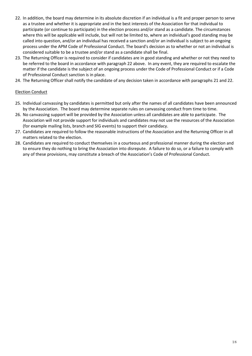- 22. In addition, the board may determine in its absolute discretion if an individual is a fit and proper person to serve as a trustee and whether it is appropriate and in the best interests of the Association for that individual to participate (or continue to participate) in the election process and/or stand as a candidate. The circumstances where this will be applicable will include, but will not be limited to, where an individual's good standing may be called into question, and/or an individual has received a sanction and/or an individual is subject to an ongoing process under the APM Code of Professional Conduct. The board's decision as to whether or not an individual is considered suitable to be a trustee and/or stand as a candidate shall be final.
- 23. The Returning Officer is required to consider if candidates are in good standing and whether or not they need to be referred to the board in accordance with paragraph 22 above. In any event, they are required to escalate the matter if the candidate is the subject of an ongoing process under the Code of Professional Conduct or if a Code of Professional Conduct sanction is in place.
- 24. The Returning Officer shall notify the candidate of any decision taken in accordance with paragraphs 21 and 22.

# Election Conduct

- 25. Individual canvassing by candidates is permitted but only after the names of all candidates have been announced by the Association. The board may determine separate rules on canvassing conduct from time to time.
- 26. No canvassing support will be provided by the Association unless all candidates are able to participate. The Association will not provide support for individuals and candidates may not use the resources of the Association (for example mailing lists, branch and SIG events) to support their candidacy.
- 27. Candidates are required to follow the reasonable instructions of the Association and the Returning Officer in all matters related to the election.
- 28. Candidates are required to conduct themselves in a courteous and professional manner during the election and to ensure they do nothing to bring the Association into disrepute. A failure to do so, or a failure to comply with any of these provisions, may constitute a breach of the Association's Code of Professional Conduct.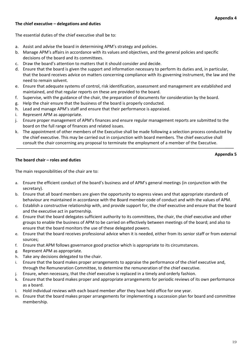#### **Appendix 4**

#### **The chief executive – delegations and duties**

The essential duties of the chief executive shall be to:

- a. Assist and advise the board in determining APM's strategy and policies.
- b. Manage APM's affairs in accordance with its values and objectives, and the general policies and specific decisions of the board and its committees.
- c. Draw the board's attention to matters that it should consider and decide.
- d. Ensure that the board is given the support and information necessary to perform its duties and, in particular, that the board receives advice on matters concerning compliance with its governing instrument, the law and the need to remain solvent.
- e. Ensure that adequate systems of control, risk identification, assessment and management are established and maintained, and that regular reports on these are provided to the board.
- f. Supervise, with the guidance of the chair, the preparation of documents for consideration by the board.
- g. Help the chair ensure that the business of the board is properly conducted.
- h. Lead and manage APM's staff and ensure that their performance is appraised.
- i. Represent APM as appropriate.
- j. Ensure proper management of APM's finances and ensure regular management reports are submitted to the board on the full range of finances and related issues.
- k. The appointment of other members of the Executive shall be made following a selection process conducted by the chief executive. This may be carried out in conjunction with board members. The chief executive shall consult the chair concerning any proposal to terminate the employment of a member of the Executive.

#### **The board chair – roles and duties**

**Appendix 5** 

The main responsibilities of the chair are to:

- a. Ensure the efficient conduct of the board's business and of APM's general meetings (in conjunction with the secretary).
- b. Ensure that all board members are given the opportunity to express views and that appropriate standards of behaviour are maintained in accordance with the Board member code of conduct and with the values of APM.
- c. Establish a constructive relationship with, and provide support for, the chief executive and ensure that the board and the executive act in partnership.
- d. Ensure that the board delegates sufficient authority to its committees, the chair, the chief executive and other groups to enable the business of APM to be carried on effectively between meetings of the board; and also to ensure that the board monitors the use of these delegated powers.
- e. Ensure that the board receives professional advice when it is needed, either from its senior staff or from external sources;
- f. Ensure that APM follows governance good practice which is appropriate to its circumstances.
- g. Represent APM as appropriate.
- h. Take any decisions delegated to the chair.
- i. Ensure that the board makes proper arrangements to appraise the performance of the chief executive and, through the Remuneration Committee, to determine the remuneration of the chief executive.
- j. Ensure, when necessary, that the chief executive is replaced in a timely and orderly fashion.
- k. Ensure that the board makes proper and appropriate arrangements for periodic reviews of its own performance as a board.
- l. Hold individual reviews with each board member after they have held office for one year.
- m. Ensure that the board makes proper arrangements for implementing a succession plan for board and committee membership.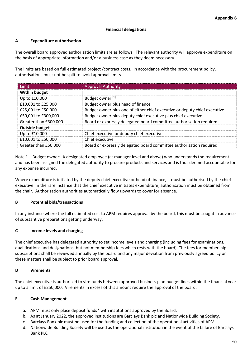#### **Financial delegations**

# **A Expenditure authorisation**

The overall board approved authorisation limits are as follows. The relevant authority will approve expenditure on the basis of appropriate information and/or a business case as they deem necessary.

The limits are based on full estimated project /contract costs. In accordance with the procurement policy, authorisations must not be split to avoid approval limits.

| <b>Limit</b>                                                                                 | <b>Approval Authority</b>                                                 |
|----------------------------------------------------------------------------------------------|---------------------------------------------------------------------------|
| <b>Within budget</b>                                                                         |                                                                           |
| Up to £10,000                                                                                | Budget owner <sup>[1]</sup>                                               |
| £10,001 to £25,000                                                                           | Budget owner plus head of finance                                         |
| £25,001 to £50,000                                                                           | Budget owner plus one of either chief executive or deputy chief executive |
| £50,001 to £300,000                                                                          | Budget owner plus deputy chief executive plus chief executive             |
| Board or expressly delegated board committee authorisation required<br>Greater than £300,000 |                                                                           |
| <b>Outside budget</b>                                                                        |                                                                           |
| Up to £10,000                                                                                | Chief executive or deputy chief executive                                 |
| £10,001 to £50,000                                                                           | Chief executive                                                           |
| Greater than £50,000                                                                         | Board or expressly delegated board committee authorisation required       |

Note 1 – Budget owner: A designated employee (at manager level and above) who understands the requirement and has been assigned the delegated authority to procure products and services and is thus deemed accountable for any expense incurred.

Where expenditure is initiated by the deputy chief executive or head of finance, it must be authorised by the chief executive. In the rare instance that the chief executive initiates expenditure, authorisation must be obtained from the chair. Authorisation authorities automatically flow upwards to cover for absence.

# **B Potential bids/transactions**

In any instance where the full estimated cost to APM requires approval by the board, this must be sought in advance of substantive preparations getting underway.

# **C Income levels and charging**

The chief executive has delegated authority to set income levels and charging (including fees for examinations, qualifications and designations, but not membership fees which rests with the board). The fees for membership subscriptions shall be reviewed annually by the board and any major deviation from previously agreed policy on these matters shall be subject to prior board approval.

# **D Virements**

The chief executive is authorised to vire funds between approved business plan budget lines within the financial year up to a limit of £250,000. Virements in excess of this amount require the approval of the board.

#### **E Cash Management**

- a. APM must only place deposit funds\* with institutions approved by the Board.
- b. As at January 2022, the approved institutions are Barclays Bank plc and Nationwide Building Society.
- c. Barclays Bank plc must be used for the funding and collection of the operational activities of APM
- d. Nationwide Building Society will be used as the operational institution in the event of the failure of Barclays Bank PLC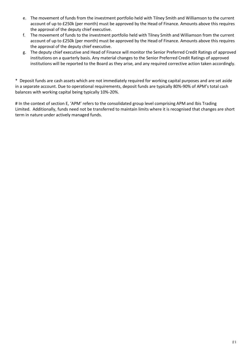- e. The movement of funds from the investment portfolio held with Tilney Smith and Williamson to the current account of up to £250k (per month) must be approved by the Head of Finance. Amounts above this requires the approval of the deputy chief executive.
- f. The movement of funds to the investment portfolio held with Tilney Smith and Williamson from the current account of up to £250k (per month) must be approved by the Head of Finance. Amounts above this requires the approval of the deputy chief executive.
- g. The deputy chief executive and Head of Finance will monitor the Senior Preferred Credit Ratings of approved institutions on a quarterly basis. Any material changes to the Senior Preferred Credit Ratings of approved institutions will be reported to the Board as they arise, and any required corrective action taken accordingly.

\* Deposit funds are cash assets which are not immediately required for working capital purposes and are set aside in a separate account. Due to operational requirements, deposit funds are typically 80%-90% of APM's total cash balances with working capital being typically 10%-20%.

# In the context of section E, 'APM' refers to the consolidated group level comprising APM and Ibis Trading Limited. Additionally, funds need not be transferred to maintain limits where it is recognised that changes are short term in nature under actively managed funds.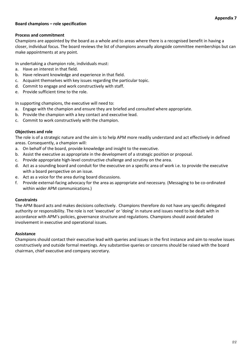#### **Board champions – role specification**

#### **Process and commitment**

Champions are appointed by the board as a whole and to areas where there is a recognised benefit in having a closer, individual focus. The board reviews the list of champions annually alongside committee memberships but can make appointments at any point.

In undertaking a champion role, individuals must:

- a. Have an interest in that field.
- b. Have relevant knowledge and experience in that field.
- c. Acquaint themselves with key issues regarding the particular topic.
- d. Commit to engage and work constructively with staff.
- e. Provide sufficient time to the role.

In supporting champions, the executive will need to:

- a. Engage with the champion and ensure they are briefed and consulted where appropriate.
- b. Provide the champion with a key contact and executive lead.
- c. Commit to work constructively with the champion.

#### **Objectives and role**

The role is of a strategic nature and the aim is to help APM more readily understand and act effectively in defined areas. Consequently, a champion will:

- a. On behalf of the board, provide knowledge and insight to the executive.
- b. Assist the executive as appropriate in the development of a strategic position or proposal.
- c. Provide appropriate high-level constructive challenge and scrutiny on the area.
- d. Act as a sounding board and conduit for the executive on a specific area of work i.e. to provide the executive with a board perspective on an issue.
- e. Act as a voice for the area during board discussions.
- f. Provide external-facing advocacy for the area as appropriate and necessary. (Messaging to be co-ordinated within wider APM communications.)

#### **Constraints**

The APM Board acts and makes decisions collectively. Champions therefore do not have any specific delegated authority or responsibility. The role is not 'executive' or 'doing' in nature and issues need to be dealt with in accordance with APM's policies, governance structure and regulations. Champions should avoid detailed involvement in executive and operational issues.

#### **Assistance**

Champions should contact their executive lead with queries and issues in the first instance and aim to resolve issues constructively and outside formal meetings. Any substantive queries or concerns should be raised with the board chairman, chief executive and company secretary.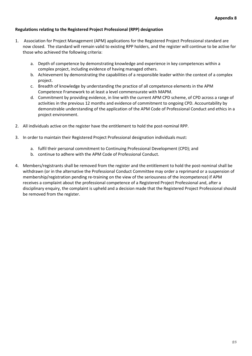# **Regulations relating to the Registered Project Professional (RPP) designation**

- 1. Association for Project Management (APM) applications for the Registered Project Professional standard are now closed. The standard will remain valid to existing RPP holders, and the register will continue to be active for those who achieved the following criteria:
	- a. Depth of competence by demonstrating knowledge and experience in key competences within a complex project, including evidence of having managed others.
	- b. Achievement by demonstrating the capabilities of a responsible leader within the context of a complex project.
	- c. Breadth of knowledge by understanding the practice of all competence elements in the APM Competence Framework to at least a level commensurate with MAPM.
	- d. Commitment by providing evidence, in line with the current APM CPD scheme, of CPD across a range of activities in the previous 12 months and evidence of commitment to ongoing CPD. Accountability by demonstrable understanding of the application of the APM Code of Professional Conduct and ethics in a project environment.
- 2. All individuals active on the register have the entitlement to hold the post-nominal RPP.
- 3. In order to maintain their Registered Project Professional designation individuals must:
	- a. fulfil their personal commitment to Continuing Professional Development (CPD); and
	- b. continue to adhere with the APM Code of Professional Conduct.
- 4. Members/registrants shall be removed from the register and the entitlement to hold the post-nominal shall be withdrawn (or in the alternative the Professional Conduct Committee may order a reprimand or a suspension of membership/registration pending re-training on the view of the seriousness of the incompetence) if APM receives a complaint about the professional competence of a Registered Project Professional and, after a disciplinary enquiry, the complaint is upheld and a decision made that the Registered Project Professional should be removed from the register.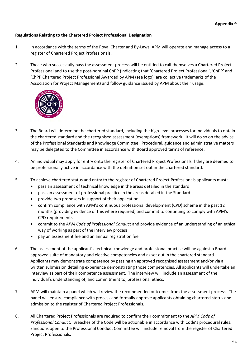# **Regulations Relating to the Chartered Project Professional Designation**

- 1. In accordance with the terms of the Royal Charter and By-Laws, APM will operate and manage access to a register of Chartered Project Professionals.
- 2. Those who successfully pass the assessment process will be entitled to call themselves a Chartered Project Professional and to use the post-nominal ChPP (indicating that 'Chartered Project Professional', 'ChPP' and 'ChPP Chartered Project Professional Awarded by APM (see logo)' are collective trademarks of the Association for Project Management) and follow guidance issued by APM about their usage.



- 3. The Board will determine the chartered standard, including the high-level processes for individuals to obtain the chartered standard and the recognised assessment (exemptions) framework. It will do so on the advice of the Professional Standards and Knowledge Committee. Procedural, guidance and administrative matters may be delegated to the Committee in accordance with Board approved terms of reference.
- 4. An individual may apply for entry onto the register of Chartered Project Professionals if they are deemed to be professionally active in accordance with the definition set out in the chartered standard.
- 5. To achieve chartered status and entry to the register of Chartered Project Professionals applicants must:
	- pass an assessment of technical knowledge in the areas detailed in the standard
	- pass an assessment of professional practice in the areas detailed in the Standard
	- provide two proposers in support of their application
	- confirm compliance with APM's continuous professional development (CPD) scheme in the past 12 months (providing evidence of this where required) and commit to continuing to comply with APM's CPD requirements
	- commit to the *APM Code of Professional Conduct* and provide evidence of an understanding of an ethical way of working as part of the interview process
	- pay an assessment fee and an annual registration fee
- 6. The assessment of the applicant's technical knowledge and professional practice will be against a Board approved suite of mandatory and elective competencies and as set out in the chartered standard. Applicants may demonstrate competence by passing an approved recognised assessment and/or via a written submission detailing experience demonstrating those competencies. All applicants will undertake an interview as part of their competence assessment. The interview will include an assessment of the individual's understanding of, and commitment to, professional ethics.
- 7. APM will maintain a panel which will review the recommended outcomes from the assessment process. The panel will ensure compliance with process and formally approve applicants obtaining chartered status and admission to the register of Chartered Project Professionals.
- 8. All Chartered Project Professionals are required to confirm their commitment to the *APM Code of Professional Conduct*. Breaches of the Code will be actionable in accordance with Code's procedural rules. Sanctions open to the Professional Conduct Committee will include removal from the register of Chartered Project Professionals.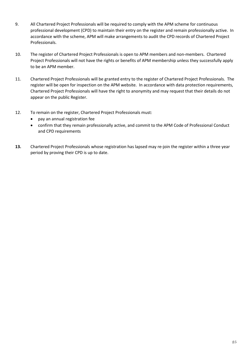- 9. All Chartered Project Professionals will be required to comply with the APM scheme for continuous professional development (CPD) to maintain their entry on the register and remain professionally active. In accordance with the scheme, APM will make arrangements to audit the CPD records of Chartered Project Professionals.
- 10. The register of Chartered Project Professionals is open to APM members and non-members. Chartered Project Professionals will not have the rights or benefits of APM membership unless they successfully apply to be an APM member.
- 11. Chartered Project Professionals will be granted entry to the register of Chartered Project Professionals. The register will be open for inspection on the APM website. In accordance with data protection requirements, Chartered Project Professionals will have the right to anonymity and may request that their details do not appear on the public Register.
- 12. To remain on the register, Chartered Project Professionals must:
	- pay an annual registration fee
	- confirm that they remain professionally active, and commit to the APM Code of Professional Conduct and CPD requirements
- **13.** Chartered Project Professionals whose registration has lapsed may re-join the register within a three year period by proving their CPD is up to date.